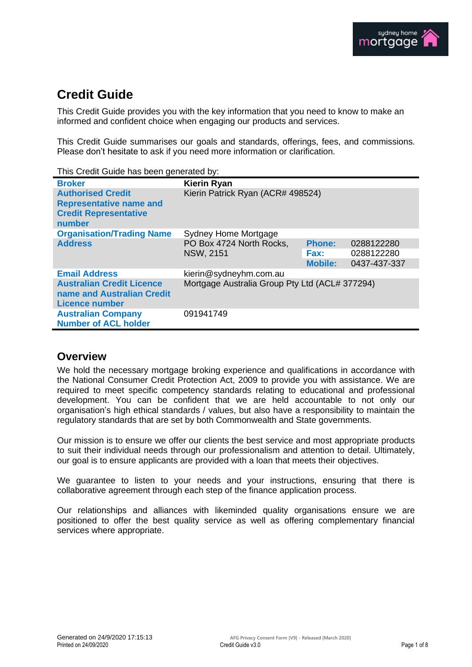# **Credit Guide**

This Credit Guide provides you with the key information that you need to know to make an informed and confident choice when engaging our products and services.

This Credit Guide summarises our goals and standards, offerings, fees, and commissions. Please don't hesitate to ask if you need more information or clarification.

| This Credit Guide has been generated by: |  |  |  |
|------------------------------------------|--|--|--|
|------------------------------------------|--|--|--|

| <b>Broker</b>                                                                                        | <b>Kierin Ryan</b>                             |                |              |
|------------------------------------------------------------------------------------------------------|------------------------------------------------|----------------|--------------|
| <b>Authorised Credit</b><br><b>Representative name and</b><br><b>Credit Representative</b><br>number | Kierin Patrick Ryan (ACR# 498524)              |                |              |
| <b>Organisation/Trading Name</b>                                                                     | <b>Sydney Home Mortgage</b>                    |                |              |
| <b>Address</b>                                                                                       | PO Box 4724 North Rocks,<br><b>NSW, 2151</b>   | <b>Phone:</b>  | 0288122280   |
|                                                                                                      |                                                | Fax:           | 0288122280   |
|                                                                                                      |                                                | <b>Mobile:</b> | 0437-437-337 |
| <b>Email Address</b>                                                                                 | kierin@sydneyhm.com.au                         |                |              |
| <b>Australian Credit Licence</b><br>name and Australian Credit<br>Licence number                     | Mortgage Australia Group Pty Ltd (ACL# 377294) |                |              |
| <b>Australian Company</b><br><b>Number of ACL holder</b>                                             | 091941749                                      |                |              |

## **Overview**

We hold the necessary mortgage broking experience and qualifications in accordance with the National Consumer Credit Protection Act, 2009 to provide you with assistance. We are required to meet specific competency standards relating to educational and professional development. You can be confident that we are held accountable to not only our organisation's high ethical standards / values, but also have a responsibility to maintain the regulatory standards that are set by both Commonwealth and State governments.

Our mission is to ensure we offer our clients the best service and most appropriate products to suit their individual needs through our professionalism and attention to detail. Ultimately, our goal is to ensure applicants are provided with a loan that meets their objectives.

We guarantee to listen to your needs and your instructions, ensuring that there is collaborative agreement through each step of the finance application process.

Our relationships and alliances with likeminded quality organisations ensure we are positioned to offer the best quality service as well as offering complementary financial services where appropriate.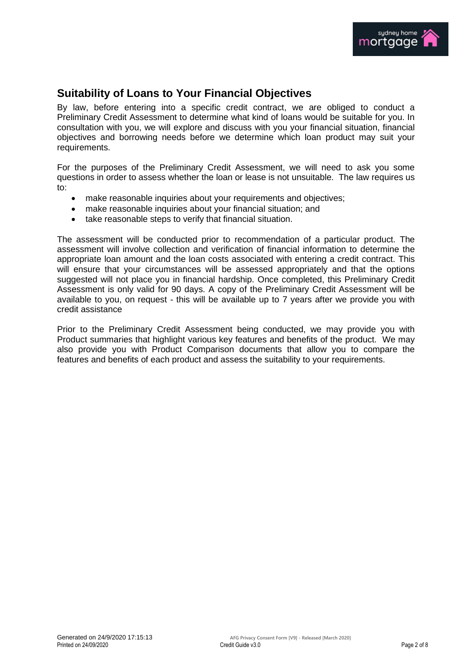

# **Suitability of Loans to Your Financial Objectives**

By law, before entering into a specific credit contract, we are obliged to conduct a Preliminary Credit Assessment to determine what kind of loans would be suitable for you. In consultation with you, we will explore and discuss with you your financial situation, financial objectives and borrowing needs before we determine which loan product may suit your requirements.

For the purposes of the Preliminary Credit Assessment, we will need to ask you some questions in order to assess whether the loan or lease is not unsuitable. The law requires us to:

- make reasonable inquiries about your requirements and objectives;
- make reasonable inquiries about your financial situation; and
- take reasonable steps to verify that financial situation.

The assessment will be conducted prior to recommendation of a particular product. The assessment will involve collection and verification of financial information to determine the appropriate loan amount and the loan costs associated with entering a credit contract. This will ensure that your circumstances will be assessed appropriately and that the options suggested will not place you in financial hardship. Once completed, this Preliminary Credit Assessment is only valid for 90 days. A copy of the Preliminary Credit Assessment will be available to you, on request - this will be available up to 7 years after we provide you with credit assistance

Prior to the Preliminary Credit Assessment being conducted, we may provide you with Product summaries that highlight various key features and benefits of the product. We may also provide you with Product Comparison documents that allow you to compare the features and benefits of each product and assess the suitability to your requirements.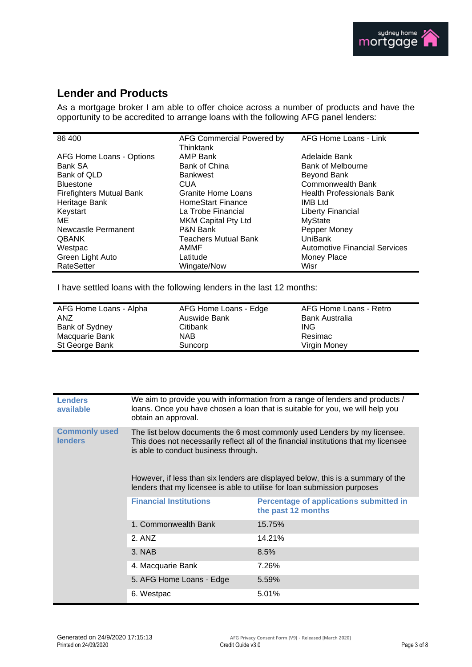

# **Lender and Products**

As a mortgage broker I am able to offer choice across a number of products and have the opportunity to be accredited to arrange loans with the following AFG panel lenders:

| 86 400                          | AFG Commercial Powered by<br>Thinktank | AFG Home Loans - Link                |
|---------------------------------|----------------------------------------|--------------------------------------|
| AFG Home Loans - Options        | AMP Bank                               | Adelaide Bank                        |
| Bank SA                         | Bank of China                          | Bank of Melbourne                    |
| Bank of QLD                     | <b>Bankwest</b>                        | Beyond Bank                          |
| <b>Bluestone</b>                | <b>CUA</b>                             | Commonwealth Bank                    |
| <b>Firefighters Mutual Bank</b> | Granite Home Loans                     | <b>Health Professionals Bank</b>     |
| Heritage Bank                   | <b>HomeStart Finance</b>               | <b>IMB Ltd</b>                       |
| Keystart                        | La Trobe Financial                     | <b>Liberty Financial</b>             |
| ME                              | <b>MKM Capital Pty Ltd</b>             | <b>MyState</b>                       |
| Newcastle Permanent             | P&N Bank                               | Pepper Money                         |
| <b>QBANK</b>                    | <b>Teachers Mutual Bank</b>            | UniBank                              |
| Westpac                         | AMMF                                   | <b>Automotive Financial Services</b> |
| Green Light Auto                | Latitude                               | Money Place                          |
| <b>RateSetter</b>               | Wingate/Now                            | Wisr                                 |

I have settled loans with the following lenders in the last 12 months:

| AFG Home Loans - Alpha | AFG Home Loans - Edge | AFG Home Loans - Retro |
|------------------------|-----------------------|------------------------|
| ANZ                    | Auswide Bank          | <b>Bank Australia</b>  |
| Bank of Sydney         | Citibank              | ING                    |
| Macquarie Bank         | NAB.                  | Resimac                |
| St George Bank         | Suncorp               | Virgin Money           |

| <b>Lenders</b><br>available            | We aim to provide you with information from a range of lenders and products /<br>loans. Once you have chosen a loan that is suitable for you, we will help you<br>obtain an approval.                     |                                                                      |  |
|----------------------------------------|-----------------------------------------------------------------------------------------------------------------------------------------------------------------------------------------------------------|----------------------------------------------------------------------|--|
| <b>Commonly used</b><br><b>lenders</b> | The list below documents the 6 most commonly used Lenders by my licensee.<br>This does not necessarily reflect all of the financial institutions that my licensee<br>is able to conduct business through. |                                                                      |  |
|                                        | However, if less than six lenders are displayed below, this is a summary of the<br>lenders that my licensee is able to utilise for loan submission purposes                                               |                                                                      |  |
|                                        | <b>Financial Institutions</b>                                                                                                                                                                             | <b>Percentage of applications submitted in</b><br>the past 12 months |  |
|                                        | 1. Commonwealth Bank                                                                                                                                                                                      | 15.75%                                                               |  |
|                                        | 2. ANZ                                                                                                                                                                                                    | 14.21%                                                               |  |
|                                        | 3. NAB                                                                                                                                                                                                    | 8.5%                                                                 |  |
|                                        | 4. Macquarie Bank                                                                                                                                                                                         | 7.26%                                                                |  |
|                                        | 5. AFG Home Loans - Edge                                                                                                                                                                                  | 5.59%                                                                |  |
|                                        | 6. Westpac                                                                                                                                                                                                | 5.01%                                                                |  |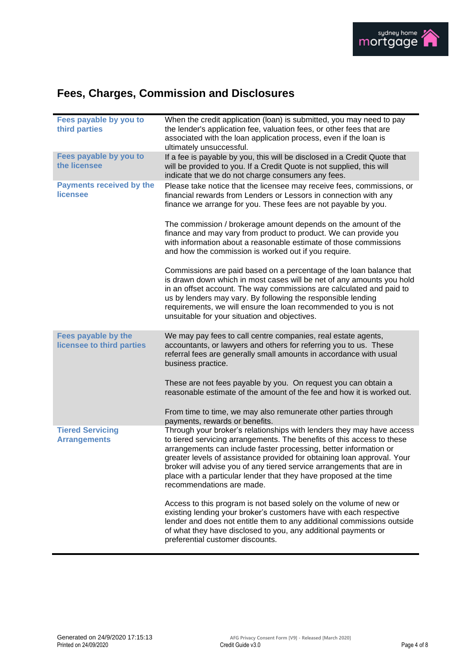

# **Fees, Charges, Commission and Disclosures**

| Fees payable by you to<br>third parties            | When the credit application (loan) is submitted, you may need to pay<br>the lender's application fee, valuation fees, or other fees that are<br>associated with the loan application process, even if the loan is<br>ultimately unsuccessful.                                                                                                                                                                                                                               |
|----------------------------------------------------|-----------------------------------------------------------------------------------------------------------------------------------------------------------------------------------------------------------------------------------------------------------------------------------------------------------------------------------------------------------------------------------------------------------------------------------------------------------------------------|
| Fees payable by you to<br>the licensee             | If a fee is payable by you, this will be disclosed in a Credit Quote that<br>will be provided to you. If a Credit Quote is not supplied, this will<br>indicate that we do not charge consumers any fees.                                                                                                                                                                                                                                                                    |
| <b>Payments received by the</b><br><b>licensee</b> | Please take notice that the licensee may receive fees, commissions, or<br>financial rewards from Lenders or Lessors in connection with any<br>finance we arrange for you. These fees are not payable by you.                                                                                                                                                                                                                                                                |
|                                                    | The commission / brokerage amount depends on the amount of the<br>finance and may vary from product to product. We can provide you<br>with information about a reasonable estimate of those commissions<br>and how the commission is worked out if you require.                                                                                                                                                                                                             |
|                                                    | Commissions are paid based on a percentage of the loan balance that<br>is drawn down which in most cases will be net of any amounts you hold<br>in an offset account. The way commissions are calculated and paid to<br>us by lenders may vary. By following the responsible lending<br>requirements, we will ensure the loan recommended to you is not<br>unsuitable for your situation and objectives.                                                                    |
| Fees payable by the<br>licensee to third parties   | We may pay fees to call centre companies, real estate agents,<br>accountants, or lawyers and others for referring you to us. These<br>referral fees are generally small amounts in accordance with usual<br>business practice.                                                                                                                                                                                                                                              |
|                                                    | These are not fees payable by you. On request you can obtain a<br>reasonable estimate of the amount of the fee and how it is worked out.                                                                                                                                                                                                                                                                                                                                    |
|                                                    | From time to time, we may also remunerate other parties through<br>payments, rewards or benefits.                                                                                                                                                                                                                                                                                                                                                                           |
| <b>Tiered Servicing</b><br><b>Arrangements</b>     | Through your broker's relationships with lenders they may have access<br>to tiered servicing arrangements. The benefits of this access to these<br>arrangements can include faster processing, better information or<br>greater levels of assistance provided for obtaining loan approval. Your<br>broker will advise you of any tiered service arrangements that are in<br>place with a particular lender that they have proposed at the time<br>recommendations are made. |
|                                                    | Access to this program is not based solely on the volume of new or<br>existing lending your broker's customers have with each respective<br>lender and does not entitle them to any additional commissions outside<br>of what they have disclosed to you, any additional payments or<br>preferential customer discounts.                                                                                                                                                    |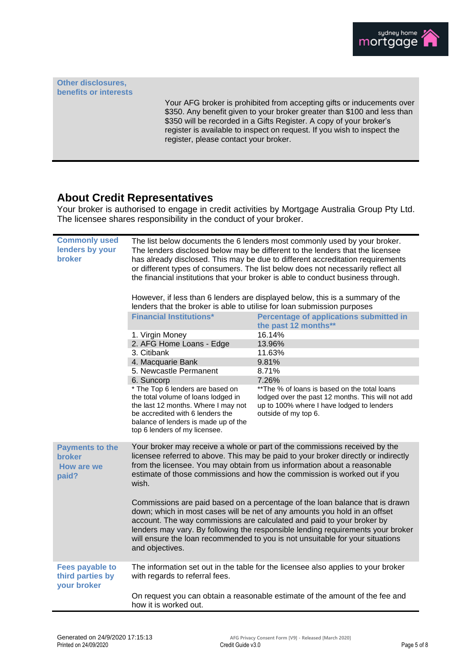

**Other disclosures, benefits or interests**

> Your AFG broker is prohibited from accepting gifts or inducements over \$350. Any benefit given to your broker greater than \$100 and less than \$350 will be recorded in a Gifts Register. A copy of your broker's register is available to inspect on request. If you wish to inspect the register, please contact your broker.

## **About Credit Representatives**

Your broker is authorised to engage in credit activities by Mortgage Australia Group Pty Ltd. The licensee shares responsibility in the conduct of your broker.

| <b>Commonly used</b><br>lenders by your<br>broker                     | The list below documents the 6 lenders most commonly used by your broker.<br>The lenders disclosed below may be different to the lenders that the licensee<br>has already disclosed. This may be due to different accreditation requirements<br>or different types of consumers. The list below does not necessarily reflect all<br>the financial institutions that your broker is able to conduct business through.<br>However, if less than 6 lenders are displayed below, this is a summary of the<br>lenders that the broker is able to utilise for loan submission purposes<br><b>Financial Institutions*</b><br><b>Percentage of applications submitted in</b><br>the past 12 months**<br>16.14%<br>1. Virgin Money<br>2. AFG Home Loans - Edge<br>13.96%<br>3. Citibank<br>11.63%<br>4. Macquarie Bank<br>9.81%<br>5. Newcastle Permanent<br>8.71%<br>6. Suncorp<br>7.26%<br>* The Top 6 lenders are based on<br>** The % of loans is based on the total loans<br>the total volume of loans lodged in<br>lodged over the past 12 months. This will not add<br>the last 12 months. Where I may not<br>up to 100% where I have lodged to lenders<br>be accredited with 6 lenders the<br>outside of my top 6.<br>balance of lenders is made up of the<br>top 6 lenders of my licensee. |                                                                              |
|-----------------------------------------------------------------------|--------------------------------------------------------------------------------------------------------------------------------------------------------------------------------------------------------------------------------------------------------------------------------------------------------------------------------------------------------------------------------------------------------------------------------------------------------------------------------------------------------------------------------------------------------------------------------------------------------------------------------------------------------------------------------------------------------------------------------------------------------------------------------------------------------------------------------------------------------------------------------------------------------------------------------------------------------------------------------------------------------------------------------------------------------------------------------------------------------------------------------------------------------------------------------------------------------------------------------------------------------------------------------------------|------------------------------------------------------------------------------|
| <b>Payments to the</b><br><b>broker</b><br><b>How are we</b><br>paid? | Your broker may receive a whole or part of the commissions received by the<br>licensee referred to above. This may be paid to your broker directly or indirectly<br>from the licensee. You may obtain from us information about a reasonable<br>estimate of those commissions and how the commission is worked out if you<br>wish.                                                                                                                                                                                                                                                                                                                                                                                                                                                                                                                                                                                                                                                                                                                                                                                                                                                                                                                                                         |                                                                              |
|                                                                       | Commissions are paid based on a percentage of the loan balance that is drawn<br>down; which in most cases will be net of any amounts you hold in an offset<br>account. The way commissions are calculated and paid to your broker by<br>lenders may vary. By following the responsible lending requirements your broker<br>will ensure the loan recommended to you is not unsuitable for your situations<br>and objectives.                                                                                                                                                                                                                                                                                                                                                                                                                                                                                                                                                                                                                                                                                                                                                                                                                                                                |                                                                              |
| <b>Fees payable to</b><br>third parties by<br>your broker             | The information set out in the table for the licensee also applies to your broker<br>with regards to referral fees.                                                                                                                                                                                                                                                                                                                                                                                                                                                                                                                                                                                                                                                                                                                                                                                                                                                                                                                                                                                                                                                                                                                                                                        |                                                                              |
|                                                                       | how it is worked out.                                                                                                                                                                                                                                                                                                                                                                                                                                                                                                                                                                                                                                                                                                                                                                                                                                                                                                                                                                                                                                                                                                                                                                                                                                                                      | On request you can obtain a reasonable estimate of the amount of the fee and |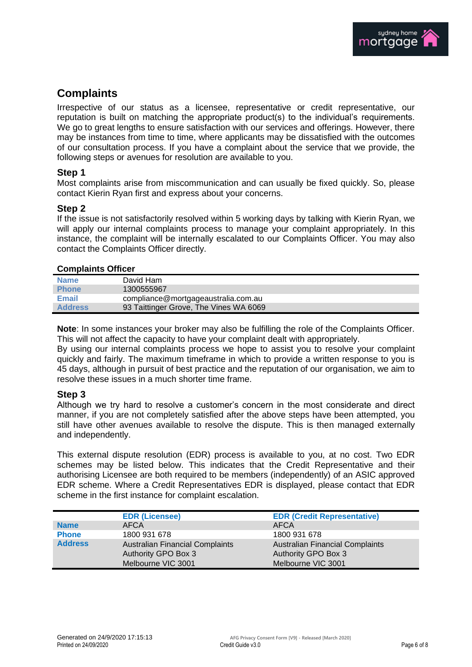

# **Complaints**

Irrespective of our status as a licensee, representative or credit representative, our reputation is built on matching the appropriate product(s) to the individual's requirements. We go to great lengths to ensure satisfaction with our services and offerings. However, there may be instances from time to time, where applicants may be dissatisfied with the outcomes of our consultation process. If you have a complaint about the service that we provide, the following steps or avenues for resolution are available to you.

## **Step 1**

Most complaints arise from miscommunication and can usually be fixed quickly. So, please contact Kierin Ryan first and express about your concerns.

## **Step 2**

If the issue is not satisfactorily resolved within 5 working days by talking with Kierin Ryan, we will apply our internal complaints process to manage your complaint appropriately. In this instance, the complaint will be internally escalated to our Complaints Officer. You may also contact the Complaints Officer directly.

### **Complaints Officer**

| <b>Name</b>    | David Ham                              |
|----------------|----------------------------------------|
| <b>Phone</b>   | 1300555967                             |
| <b>Email</b>   | compliance@mortgageaustralia.com.au    |
| <b>Address</b> | 93 Taittinger Grove, The Vines WA 6069 |

**Note**: In some instances your broker may also be fulfilling the role of the Complaints Officer. This will not affect the capacity to have your complaint dealt with appropriately.

By using our internal complaints process we hope to assist you to resolve your complaint quickly and fairly. The maximum timeframe in which to provide a written response to you is 45 days, although in pursuit of best practice and the reputation of our organisation, we aim to resolve these issues in a much shorter time frame.

## **Step 3**

Although we try hard to resolve a customer's concern in the most considerate and direct manner, if you are not completely satisfied after the above steps have been attempted, you still have other avenues available to resolve the dispute. This is then managed externally and independently.

This external dispute resolution (EDR) process is available to you, at no cost. Two EDR schemes may be listed below. This indicates that the Credit Representative and their authorising Licensee are both required to be members (independently) of an ASIC approved EDR scheme. Where a Credit Representatives EDR is displayed, please contact that EDR scheme in the first instance for complaint escalation.

|                | <b>EDR (Licensee)</b>                                                | <b>EDR (Credit Representative)</b>                            |
|----------------|----------------------------------------------------------------------|---------------------------------------------------------------|
| <b>Name</b>    | AFCA                                                                 | <b>AFCA</b>                                                   |
| <b>Phone</b>   | 1800 931 678                                                         | 1800 931 678                                                  |
| <b>Address</b> | <b>Australian Financial Complaints</b><br><b>Authority GPO Box 3</b> | <b>Australian Financial Complaints</b><br>Authority GPO Box 3 |
|                | Melbourne VIC 3001                                                   | Melbourne VIC 3001                                            |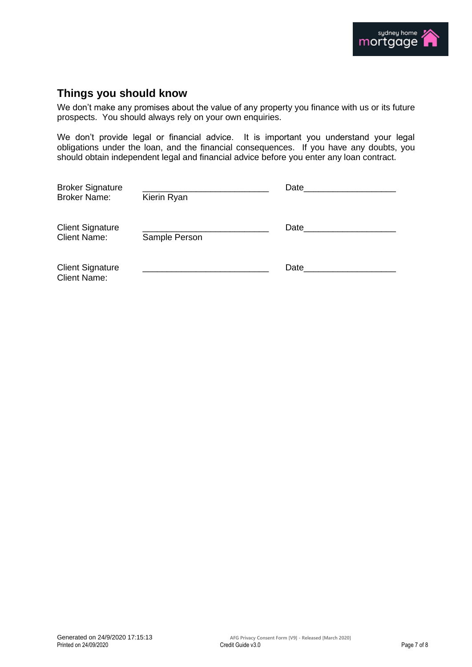

# **Things you should know**

We don't make any promises about the value of any property you finance with us or its future prospects. You should always rely on your own enquiries.

We don't provide legal or financial advice. It is important you understand your legal obligations under the loan, and the financial consequences. If you have any doubts, you should obtain independent legal and financial advice before you enter any loan contract.

| <b>Broker Signature</b>                        | Date and the state of the state of the state of the state of the state of the state of the state of the state of the state of the state of the state of the state of the state of the state of the state of the state of the s |      |  |
|------------------------------------------------|--------------------------------------------------------------------------------------------------------------------------------------------------------------------------------------------------------------------------------|------|--|
| <b>Broker Name:</b>                            | Kierin Ryan                                                                                                                                                                                                                    |      |  |
| <b>Client Signature</b><br><b>Client Name:</b> | Sample Person                                                                                                                                                                                                                  | Date |  |
| <b>Client Signature</b><br><b>Client Name:</b> |                                                                                                                                                                                                                                | Date |  |